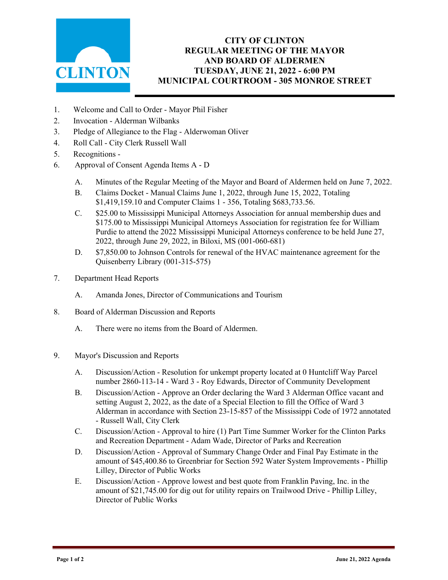

## **CITY OF CLINTON REGULAR MEETING OF THE MAYOR AND BOARD OF ALDERMEN TUESDAY, JUNE 21, 2022 - 6:00 PM MUNICIPAL COURTROOM - 305 MONROE STREET**

- 1. Welcome and Call to Order Mayor Phil Fisher
- 2. Invocation Alderman Wilbanks
- 3. Pledge of Allegiance to the Flag Alderwoman Oliver
- 4. Roll Call City Clerk Russell Wall
- 5. Recognitions -
- 6. Approval of Consent Agenda Items A D
	- A. Minutes of the Regular Meeting of the Mayor and Board of Aldermen held on June 7, 2022.
	- B. Claims Docket Manual Claims June 1, 2022, through June 15, 2022, Totaling \$1,419,159.10 and Computer Claims 1 - 356, Totaling \$683,733.56.
	- C. \$25.00 to Mississippi Municipal Attorneys Association for annual membership dues and \$175.00 to Mississippi Municipal Attorneys Association for registration fee for William Purdie to attend the 2022 Mississippi Municipal Attorneys conference to be held June 27, 2022, through June 29, 2022, in Biloxi, MS (001-060-681)
	- D. \$7,850.00 to Johnson Controls for renewal of the HVAC maintenance agreement for the Quisenberry Library (001-315-575)
- 7. Department Head Reports
	- A. Amanda Jones, Director of Communications and Tourism
- 8. Board of Alderman Discussion and Reports
	- A. There were no items from the Board of Aldermen.
- 9. Mayor's Discussion and Reports
	- A. Discussion/Action Resolution for unkempt property located at 0 Huntcliff Way Parcel number 2860-113-14 - Ward 3 - Roy Edwards, Director of Community Development
	- B. Discussion/Action Approve an Order declaring the Ward 3 Alderman Office vacant and setting August 2, 2022, as the date of a Special Election to fill the Office of Ward 3 Alderman in accordance with Section 23-15-857 of the Mississippi Code of 1972 annotated - Russell Wall, City Clerk
	- C. Discussion/Action Approval to hire (1) Part Time Summer Worker for the Clinton Parks and Recreation Department - Adam Wade, Director of Parks and Recreation
	- D. Discussion/Action Approval of Summary Change Order and Final Pay Estimate in the amount of \$45,400.86 to Greenbriar for Section 592 Water System Improvements - Phillip Lilley, Director of Public Works
	- E. Discussion/Action Approve lowest and best quote from Franklin Paving, Inc. in the amount of \$21,745.00 for dig out for utility repairs on Trailwood Drive - Phillip Lilley, Director of Public Works